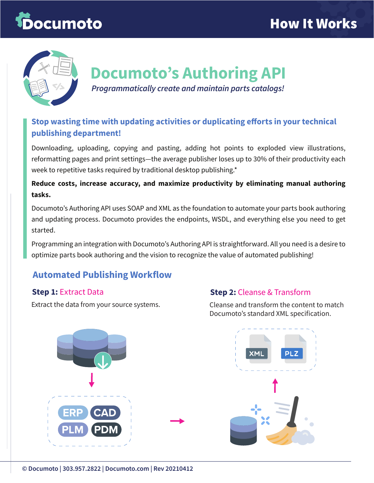# Documoto



## **Documoto's Authoring API**

*Programmatically create and maintain parts catalogs!* 

#### **Stop wasting time with updating activities or duplicating efforts in your technical publishing department!**

Downloading, uploading, copying and pasting, adding hot points to exploded view illustrations, reformatting pages and print settings—the average publisher loses up to 30% of their productivity each week to repetitive tasks required by traditional desktop publishing.\*

#### **Reduce costs, increase accuracy, and maximize productivity by eliminating manual authoring tasks.**

Documoto's Authoring API uses SOAP and XML as the foundation to automate your parts book authoring and updating process. Documoto provides the endpoints, WSDL, and everything else you need to get started.

Programming an integration with Documoto's Authoring API is straightforward. All you need is a desire to optimize parts book authoring and the vision to recognize the value of automated publishing!

#### **Automated Publishing Workflow**

#### **Step 1:** Extract Data

Extract the data from your source systems.

#### **Step 2:** Cleanse & Transform

Cleanse and transform the content to match Documoto's standard XML specification.